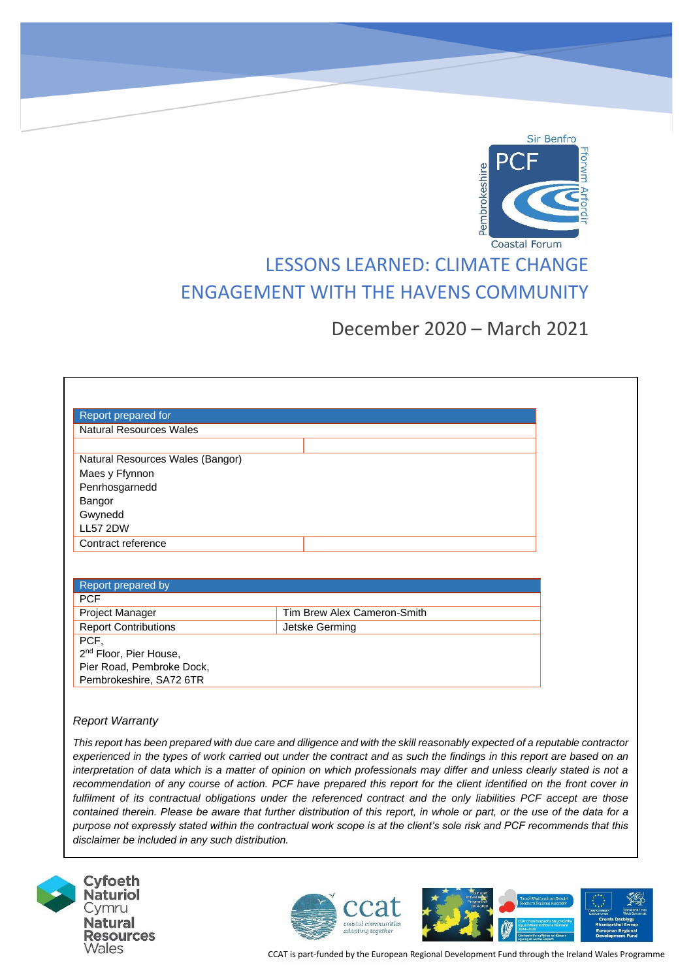

# LESSONS LEARNED: CLIMATE CHANGE ENGAGEMENT WITH THE HAVENS COMMUNITY

## December 2020 – March 2021

| Report prepared for              |  |
|----------------------------------|--|
| <b>Natural Resources Wales</b>   |  |
|                                  |  |
| Natural Resources Wales (Bangor) |  |
| Maes y Ffynnon                   |  |
| Penrhosgarnedd                   |  |
| Bangor                           |  |
| Gwynedd                          |  |
| <b>LL57 2DW</b>                  |  |
| Contract reference               |  |

| Report prepared by                 |                             |
|------------------------------------|-----------------------------|
| <b>PCF</b>                         |                             |
| <b>Project Manager</b>             | Tim Brew Alex Cameron-Smith |
| <b>Report Contributions</b>        | Jetske Germing              |
| PCF,                               |                             |
| 2 <sup>nd</sup> Floor, Pier House, |                             |
| Pier Road, Pembroke Dock,          |                             |
| Pembrokeshire, SA72 6TR            |                             |

#### *Report Warranty*

*This report has been prepared with due care and diligence and with the skill reasonably expected of a reputable contractor experienced in the types of work carried out under the contract and as such the findings in this report are based on an interpretation of data which is a matter of opinion on which professionals may differ and unless clearly stated is not a recommendation of any course of action. PCF have prepared this report for the client identified on the front cover in fulfilment of its contractual obligations under the referenced contract and the only liabilities PCF accept are those contained therein. Please be aware that further distribution of this report, in whole or part, or the use of the data for a purpose not expressly stated within the contractual work scope is at the client's sole risk and PCF recommends that this disclaimer be included in any such distribution.*





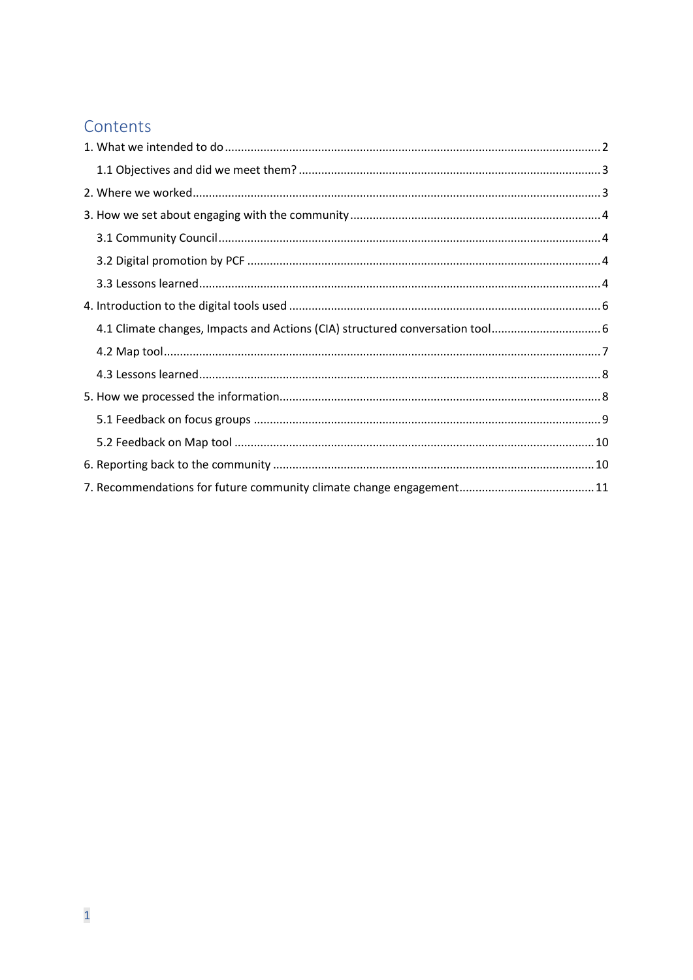## Contents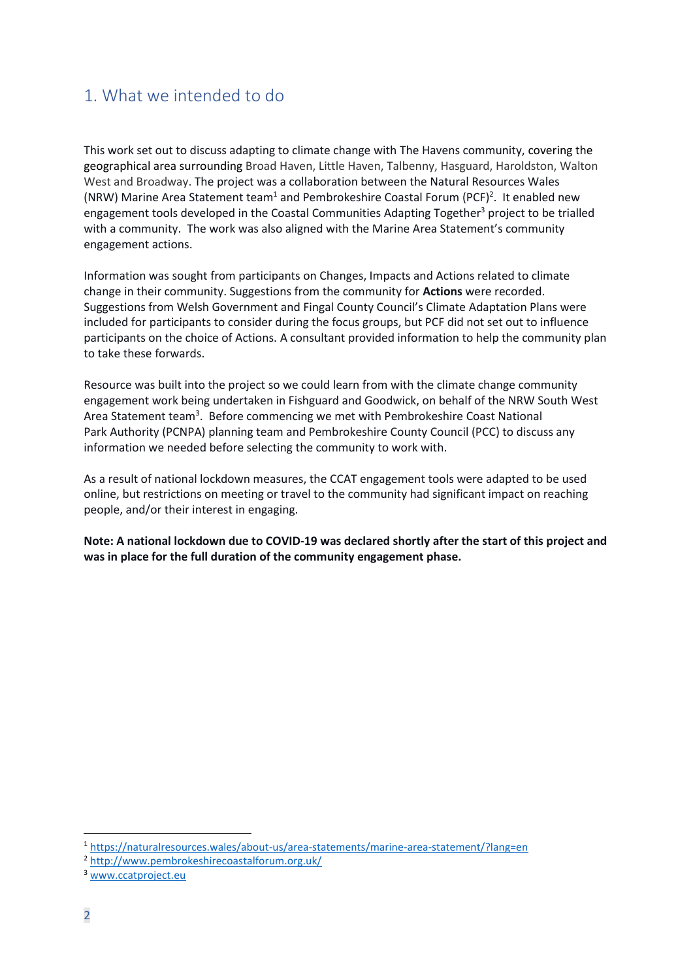## <span id="page-2-0"></span>1. What we intended to do

This work set out to discuss adapting to climate change with The Havens community, covering the geographical area surrounding Broad Haven, Little Haven, Talbenny, Hasguard, Haroldston, Walton West and Broadway. The project was a collaboration between the Natural Resources Wales (NRW) Marine Area Statement team<sup>1</sup> and Pembrokeshire Coastal Forum (PCF)<sup>2</sup>. It enabled new engagement tools developed in the Coastal Communities Adapting Together<sup>3</sup> project to be trialled with a community. The work was also aligned with the Marine Area Statement's community engagement actions.

Information was sought from participants on Changes, Impacts and Actions related to climate change in their community. Suggestions from the community for **Actions** were recorded. Suggestions from Welsh Government and Fingal County Council's Climate Adaptation Plans were included for participants to consider during the focus groups, but PCF did not set out to influence participants on the choice of Actions. A consultant provided information to help the community plan to take these forwards.

Resource was built into the project so we could learn from with the climate change community engagement work being undertaken in Fishguard and Goodwick, on behalf of the NRW South West Area Statement team<sup>3</sup>. Before commencing we met with Pembrokeshire Coast National Park Authority (PCNPA) planning team and Pembrokeshire County Council (PCC) to discuss any information we needed before selecting the community to work with.

As a result of national lockdown measures, the CCAT engagement tools were adapted to be used online, but restrictions on meeting or travel to the community had significant impact on reaching people, and/or their interest in engaging.

**Note: A national lockdown due to COVID-19 was declared shortly after the start of this project and was in place for the full duration of the community engagement phase.** 

<sup>1</sup> <https://naturalresources.wales/about-us/area-statements/marine-area-statement/?lang=en>

<sup>2</sup> <http://www.pembrokeshirecoastalforum.org.uk/>

<sup>3</sup> [www.ccatproject.eu](http://www.ccatproject.eu/)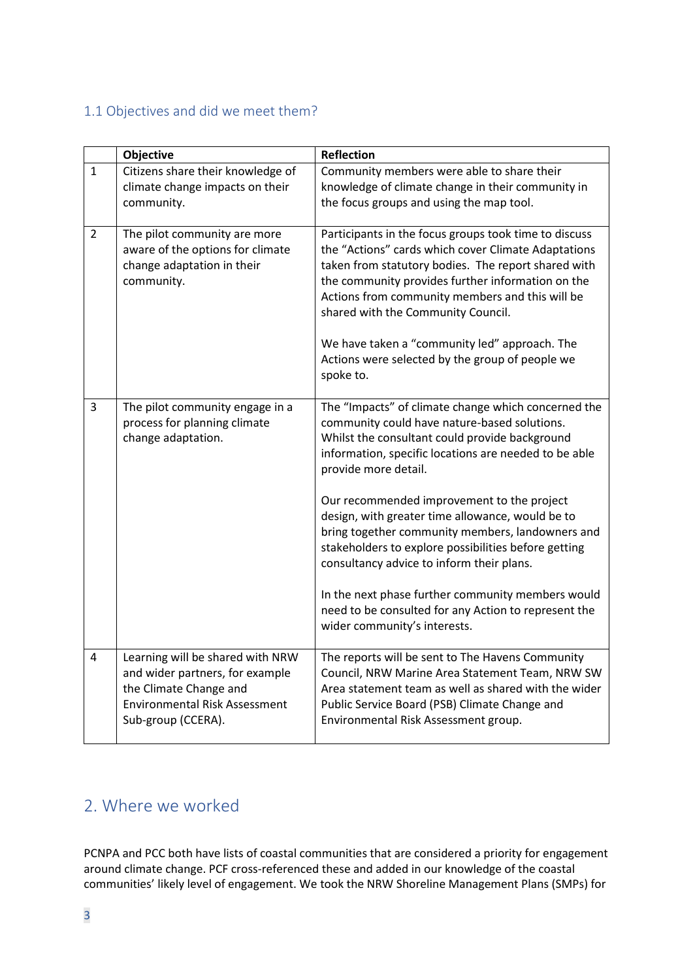### <span id="page-3-0"></span>1.1 Objectives and did we meet them?

|                | Objective                                                        | <b>Reflection</b>                                                                                                                                           |
|----------------|------------------------------------------------------------------|-------------------------------------------------------------------------------------------------------------------------------------------------------------|
| $\mathbf{1}$   | Citizens share their knowledge of                                | Community members were able to share their                                                                                                                  |
|                | climate change impacts on their                                  | knowledge of climate change in their community in                                                                                                           |
|                | community.                                                       | the focus groups and using the map tool.                                                                                                                    |
|                |                                                                  |                                                                                                                                                             |
| $\overline{2}$ | The pilot community are more<br>aware of the options for climate | Participants in the focus groups took time to discuss<br>the "Actions" cards which cover Climate Adaptations                                                |
|                | change adaptation in their<br>community.                         | taken from statutory bodies. The report shared with<br>the community provides further information on the<br>Actions from community members and this will be |
|                |                                                                  | shared with the Community Council.                                                                                                                          |
|                |                                                                  | We have taken a "community led" approach. The<br>Actions were selected by the group of people we<br>spoke to.                                               |
| 3              | The pilot community engage in a<br>process for planning climate  | The "Impacts" of climate change which concerned the<br>community could have nature-based solutions.                                                         |
|                | change adaptation.                                               | Whilst the consultant could provide background<br>information, specific locations are needed to be able                                                     |
|                |                                                                  | provide more detail.                                                                                                                                        |
|                |                                                                  | Our recommended improvement to the project<br>design, with greater time allowance, would be to                                                              |
|                |                                                                  | bring together community members, landowners and<br>stakeholders to explore possibilities before getting                                                    |
|                |                                                                  | consultancy advice to inform their plans.                                                                                                                   |
|                |                                                                  | In the next phase further community members would                                                                                                           |
|                |                                                                  | need to be consulted for any Action to represent the<br>wider community's interests.                                                                        |
| 4              | Learning will be shared with NRW                                 | The reports will be sent to The Havens Community                                                                                                            |
|                | and wider partners, for example                                  | Council, NRW Marine Area Statement Team, NRW SW                                                                                                             |
|                | the Climate Change and                                           | Area statement team as well as shared with the wider                                                                                                        |
|                | <b>Environmental Risk Assessment</b>                             | Public Service Board (PSB) Climate Change and                                                                                                               |
|                | Sub-group (CCERA).                                               | Environmental Risk Assessment group.                                                                                                                        |
|                |                                                                  |                                                                                                                                                             |

## <span id="page-3-1"></span>2. Where we worked

PCNPA and PCC both have lists of coastal communities that are considered a priority for engagement around climate change. PCF cross-referenced these and added in our knowledge of the coastal communities' likely level of engagement. We took the NRW Shoreline Management Plans (SMPs) for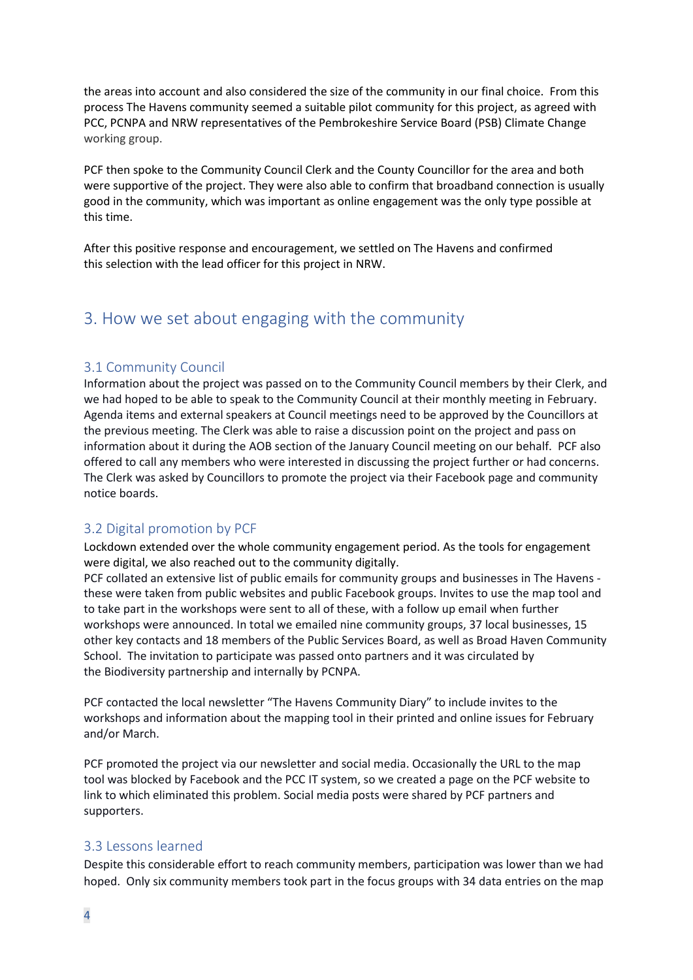the areas into account and also considered the size of the community in our final choice. From this process The Havens community seemed a suitable pilot community for this project, as agreed with PCC, PCNPA and NRW representatives of the Pembrokeshire Service Board (PSB) Climate Change working group.

PCF then spoke to the Community Council Clerk and the County Councillor for the area and both were supportive of the project. They were also able to confirm that broadband connection is usually good in the community, which was important as online engagement was the only type possible at this time.

After this positive response and encouragement, we settled on The Havens and confirmed this selection with the lead officer for this project in NRW.

### <span id="page-4-0"></span>3. How we set about engaging with the community

### <span id="page-4-1"></span>3.1 Community Council

Information about the project was passed on to the Community Council members by their Clerk, and we had hoped to be able to speak to the Community Council at their monthly meeting in February. Agenda items and external speakers at Council meetings need to be approved by the Councillors at the previous meeting. The Clerk was able to raise a discussion point on the project and pass on information about it during the AOB section of the January Council meeting on our behalf. PCF also offered to call any members who were interested in discussing the project further or had concerns. The Clerk was asked by Councillors to promote the project via their Facebook page and community notice boards.

### <span id="page-4-2"></span>3.2 Digital promotion by PCF

Lockdown extended over the whole community engagement period. As the tools for engagement were digital, we also reached out to the community digitally.

PCF collated an extensive list of public emails for community groups and businesses in The Havens these were taken from public websites and public Facebook groups. Invites to use the map tool and to take part in the workshops were sent to all of these, with a follow up email when further workshops were announced. In total we emailed nine community groups, 37 local businesses, 15 other key contacts and 18 members of the Public Services Board, as well as Broad Haven Community School. The invitation to participate was passed onto partners and it was circulated by the Biodiversity partnership and internally by PCNPA.

PCF contacted the local newsletter "The Havens Community Diary" to include invites to the workshops and information about the mapping tool in their printed and online issues for February and/or March.

PCF promoted the project via our newsletter and social media. Occasionally the URL to the map tool was blocked by Facebook and the PCC IT system, so we created a page on the PCF website to link to which eliminated this problem. Social media posts were shared by PCF partners and supporters.

#### <span id="page-4-3"></span>3.3 Lessons learned

Despite this considerable effort to reach community members, participation was lower than we had hoped. Only six community members took part in the focus groups with 34 data entries on the map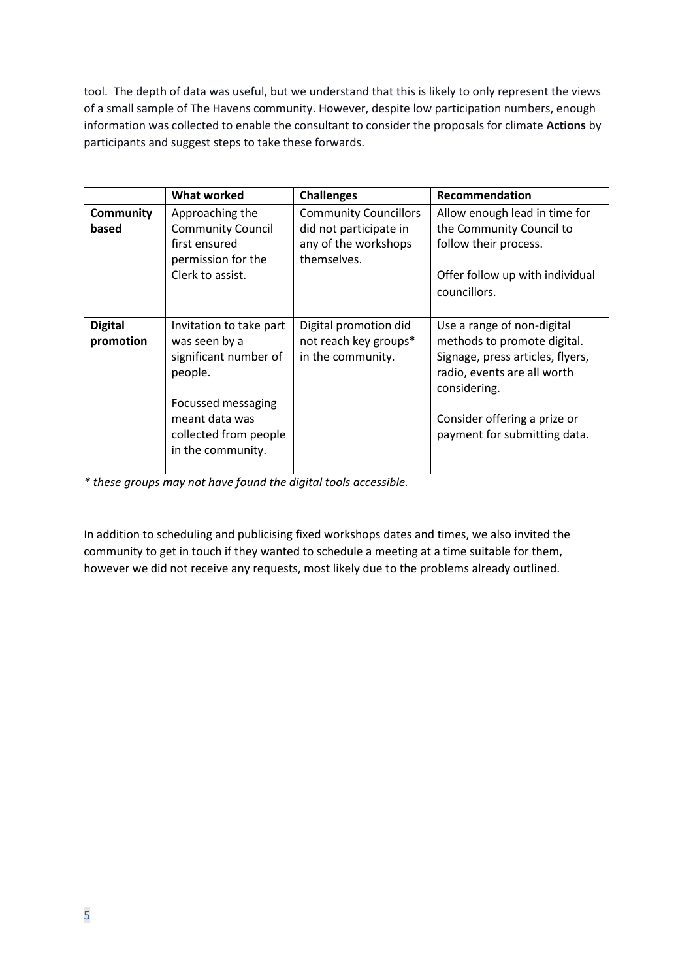tool. The depth of data was useful, but we understand that this is likely to only represent the views of a small sample of The Havens community. However, despite low participation numbers, enough information was collected to enable the consultant to consider the proposals for climate **Actions** by participants and suggest steps to take these forwards.

|                             | <b>What worked</b>                                                                                                                                                 | <b>Challenges</b>                                                   | Recommendation                                                                                                                                                                                               |
|-----------------------------|--------------------------------------------------------------------------------------------------------------------------------------------------------------------|---------------------------------------------------------------------|--------------------------------------------------------------------------------------------------------------------------------------------------------------------------------------------------------------|
| <b>Community</b>            | Approaching the                                                                                                                                                    | <b>Community Councillors</b>                                        | Allow enough lead in time for                                                                                                                                                                                |
| based                       | <b>Community Council</b><br>first ensured<br>permission for the<br>Clerk to assist.                                                                                | did not participate in<br>any of the workshops<br>themselves.       | the Community Council to<br>follow their process.<br>Offer follow up with individual<br>councillors.                                                                                                         |
| <b>Digital</b><br>promotion | Invitation to take part<br>was seen by a<br>significant number of<br>people.<br>Focussed messaging<br>meant data was<br>collected from people<br>in the community. | Digital promotion did<br>not reach key groups*<br>in the community. | Use a range of non-digital<br>methods to promote digital.<br>Signage, press articles, flyers,<br>radio, events are all worth<br>considering.<br>Consider offering a prize or<br>payment for submitting data. |

*\* these groups may not have found the digital tools accessible.*

In addition to scheduling and publicising fixed workshops dates and times, we also invited the community to get in touch if they wanted to schedule a meeting at a time suitable for them, however we did not receive any requests, most likely due to the problems already outlined.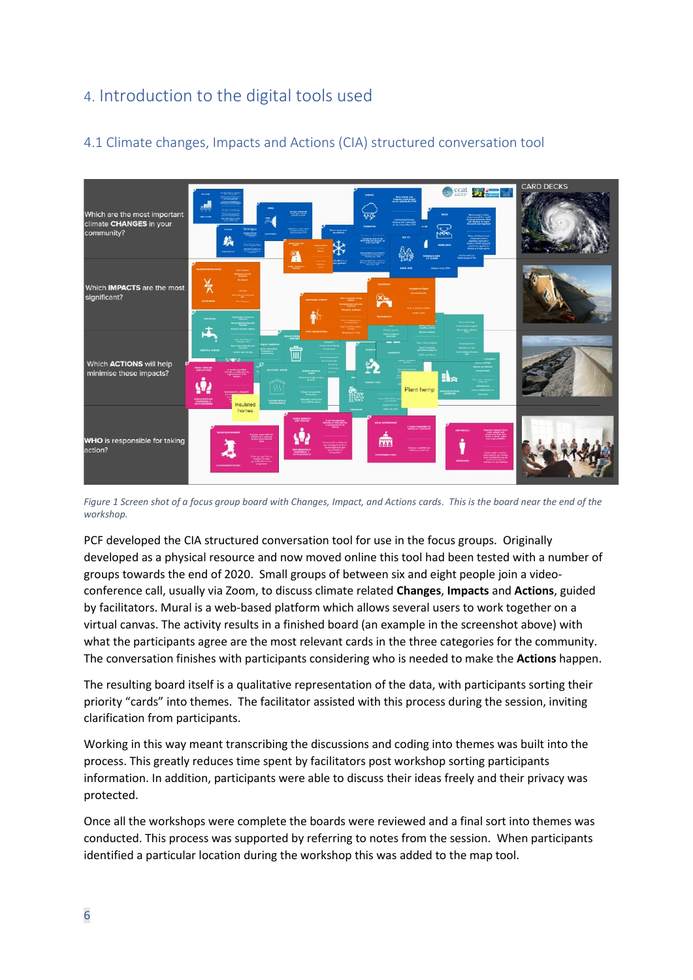## <span id="page-6-0"></span>4. Introduction to the digital tools used



### <span id="page-6-1"></span>4.1 Climate changes, Impacts and Actions (CIA) structured conversation tool

*Figure 1 Screen shot of a focus group board with Changes, Impact, and Actions cards. This is the board near the end of the workshop.*

PCF developed the CIA structured conversation tool for use in the focus groups. Originally developed as a physical resource and now moved online this tool had been tested with a number of groups towards the end of 2020. Small groups of between six and eight people join a videoconference call, usually via Zoom, to discuss climate related **Changes**, **Impacts** and **Actions**, guided by facilitators. Mural is a web-based platform which allows several users to work together on a virtual canvas. The activity results in a finished board (an example in the screenshot above) with what the participants agree are the most relevant cards in the three categories for the community. The conversation finishes with participants considering who is needed to make the **Actions** happen.

The resulting board itself is a qualitative representation of the data, with participants sorting their priority "cards" into themes. The facilitator assisted with this process during the session, inviting clarification from participants.

Working in this way meant transcribing the discussions and coding into themes was built into the process. This greatly reduces time spent by facilitators post workshop sorting participants information. In addition, participants were able to discuss their ideas freely and their privacy was protected.

Once all the workshops were complete the boards were reviewed and a final sort into themes was conducted. This process was supported by referring to notes from the session. When participants identified a particular location during the workshop this was added to the map tool.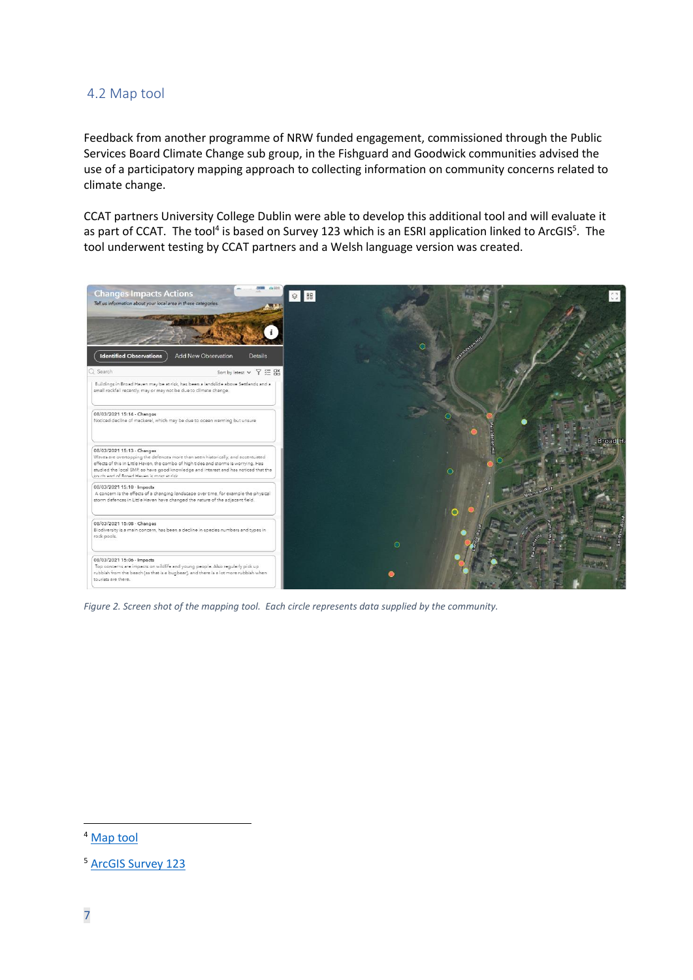### <span id="page-7-0"></span>4.2 Map tool

Feedback from another programme of NRW funded engagement, commissioned through the Public Services Board Climate Change sub group, in the Fishguard and Goodwick communities advised the use of a participatory mapping approach to collecting information on community concerns related to climate change.

CCAT partners University College Dublin were able to develop this additional tool and will evaluate it as part of CCAT. The tool<sup>4</sup> is based on Survey 123 which is an ESRI application linked to ArcGIS<sup>5</sup>. The tool underwent testing by CCAT partners and a Welsh language version was created.



*Figure 2. Screen shot of the mapping tool. Each circle represents data supplied by the community.*

<sup>4</sup> [Map tool](https://experience.arcgis.com/experience/a07930bfc17d4d4aa88934bc3350291c/?data_id=dataSource_2-survey123_7d5fb2f1e3d94b479f27ef6459a8f8cc_stakeholder_2938%3A37)

<sup>&</sup>lt;sup>5</sup> [ArcGIS Survey 123](https://www.esri.com/en-us/arcgis/products/arcgis-survey123/overview?rmedium=www_esri_com_EtoF&rsource=/en-us/arcgis/products/survey123/overview)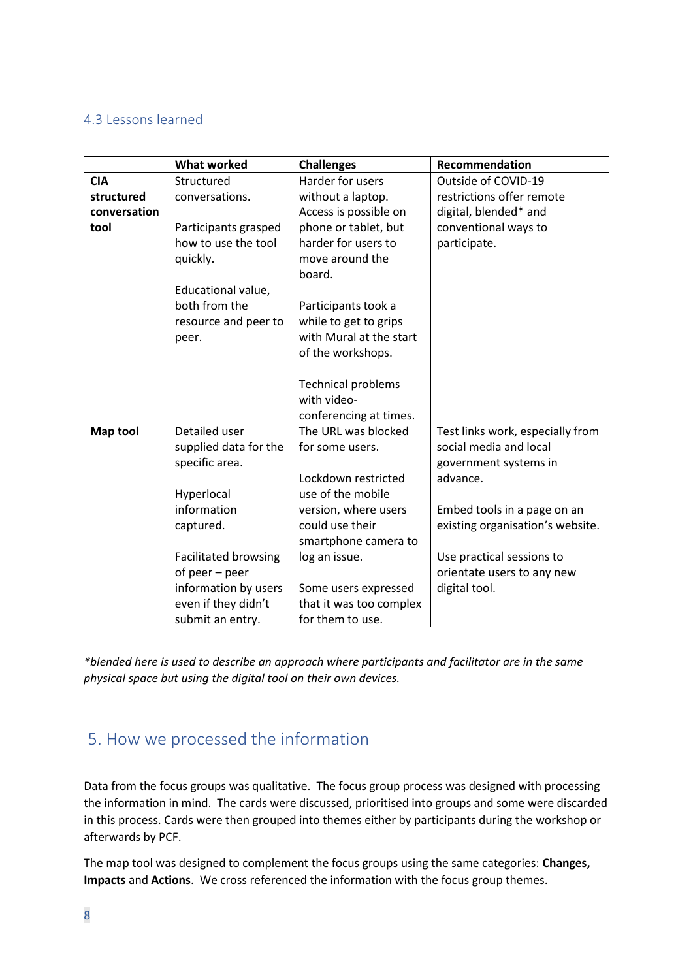### <span id="page-8-0"></span>4.3 Lessons learned

|                 | <b>What worked</b>          | <b>Challenges</b>         | Recommendation                   |  |
|-----------------|-----------------------------|---------------------------|----------------------------------|--|
| <b>CIA</b>      | Structured                  | Harder for users          | Outside of COVID-19              |  |
| structured      | conversations.              | without a laptop.         | restrictions offer remote        |  |
| conversation    |                             | Access is possible on     | digital, blended* and            |  |
| tool            | Participants grasped        | phone or tablet, but      | conventional ways to             |  |
|                 | how to use the tool         | harder for users to       | participate.                     |  |
|                 | quickly.                    | move around the           |                                  |  |
|                 |                             | board.                    |                                  |  |
|                 | Educational value,          |                           |                                  |  |
|                 | both from the               | Participants took a       |                                  |  |
|                 | resource and peer to        | while to get to grips     |                                  |  |
|                 | peer.                       | with Mural at the start   |                                  |  |
|                 |                             | of the workshops.         |                                  |  |
|                 |                             |                           |                                  |  |
|                 |                             | <b>Technical problems</b> |                                  |  |
|                 |                             | with video-               |                                  |  |
|                 |                             | conferencing at times.    |                                  |  |
| <b>Map tool</b> | Detailed user               | The URL was blocked       | Test links work, especially from |  |
|                 | supplied data for the       | for some users.           | social media and local           |  |
|                 | specific area.              |                           | government systems in            |  |
|                 |                             | Lockdown restricted       | advance.                         |  |
|                 | Hyperlocal                  | use of the mobile         |                                  |  |
|                 | information                 | version, where users      | Embed tools in a page on an      |  |
|                 | captured.                   | could use their           | existing organisation's website. |  |
|                 |                             | smartphone camera to      |                                  |  |
|                 | <b>Facilitated browsing</b> | log an issue.             | Use practical sessions to        |  |
|                 | of peer - peer              |                           | orientate users to any new       |  |
|                 | information by users        | Some users expressed      | digital tool.                    |  |
|                 | even if they didn't         | that it was too complex   |                                  |  |
|                 | submit an entry.            | for them to use.          |                                  |  |

*\*blended here is used to describe an approach where participants and facilitator are in the same physical space but using the digital tool on their own devices.*

## <span id="page-8-1"></span>5. How we processed the information

Data from the focus groups was qualitative. The focus group process was designed with processing the information in mind. The cards were discussed, prioritised into groups and some were discarded in this process. Cards were then grouped into themes either by participants during the workshop or afterwards by PCF.

The map tool was designed to complement the focus groups using the same categories: **Changes, Impacts** and **Actions**. We cross referenced the information with the focus group themes.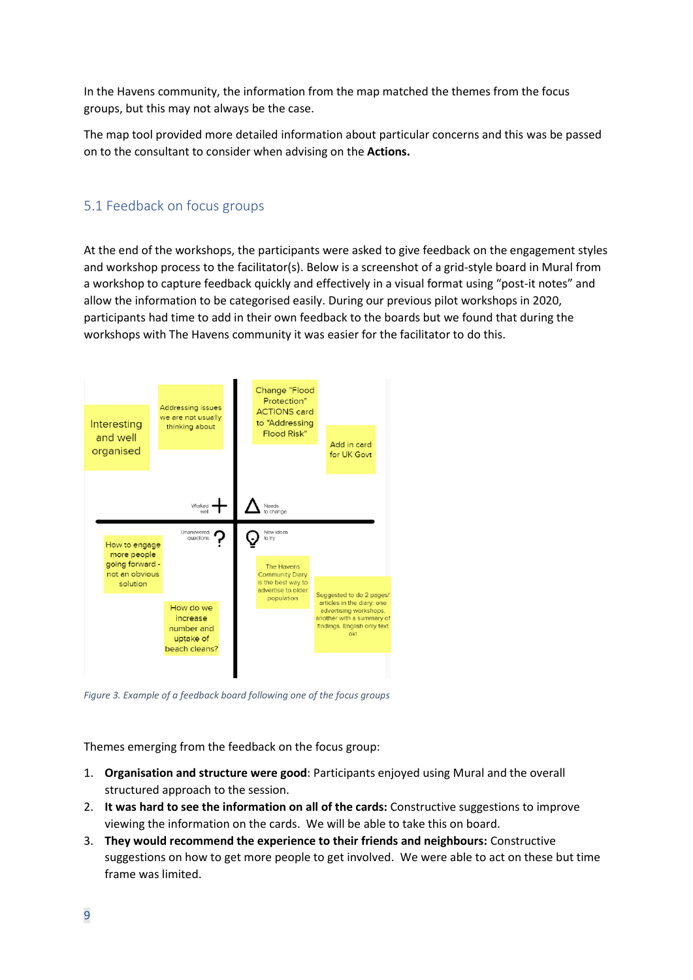In the Havens community, the information from the map matched the themes from the focus groups, but this may not always be the case.

The map tool provided more detailed information about particular concerns and this was be passed on to the consultant to consider when advising on the **Actions.**

### <span id="page-9-0"></span>5.1 Feedback on focus groups

At the end of the workshops, the participants were asked to give feedback on the engagement styles and workshop process to the facilitator(s). Below is a screenshot of a grid-style board in Mural from a workshop to capture feedback quickly and effectively in a visual format using "post-it notes" and allow the information to be categorised easily. During our previous pilot workshops in 2020, participants had time to add in their own feedback to the boards but we found that during the workshops with The Havens community it was easier for the facilitator to do this.



*Figure 3. Example of a feedback board following one of the focus groups*

Themes emerging from the feedback on the focus group:

- 1. **Organisation and structure were good**: Participants enjoyed using Mural and the overall structured approach to the session.
- 2. **It was hard to see the information on all of the cards:** Constructive suggestions to improve viewing the information on the cards. We will be able to take this on board.
- 3. **They would recommend the experience to their friends and neighbours:** Constructive suggestions on how to get more people to get involved. We were able to act on these but time frame was limited.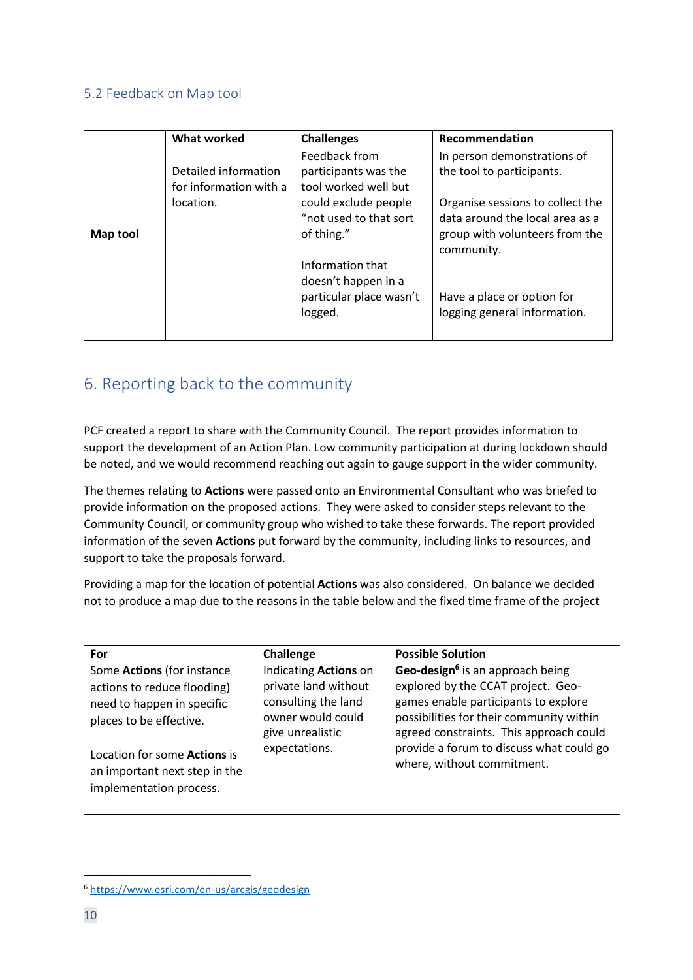### <span id="page-10-0"></span>5.2 Feedback on Map tool

|          | <b>What worked</b>                                          | <b>Challenges</b>                                                                                                                                                                                              | Recommendation                                                                                                                                                                                                                                |
|----------|-------------------------------------------------------------|----------------------------------------------------------------------------------------------------------------------------------------------------------------------------------------------------------------|-----------------------------------------------------------------------------------------------------------------------------------------------------------------------------------------------------------------------------------------------|
| Map tool | Detailed information<br>for information with a<br>location. | Feedback from<br>participants was the<br>tool worked well but<br>could exclude people<br>"not used to that sort<br>of thing."<br>Information that<br>doesn't happen in a<br>particular place wasn't<br>logged. | In person demonstrations of<br>the tool to participants.<br>Organise sessions to collect the<br>data around the local area as a<br>group with volunteers from the<br>community.<br>Have a place or option for<br>logging general information. |

## <span id="page-10-1"></span>6. Reporting back to the community

PCF created a report to share with the Community Council. The report provides information to support the development of an Action Plan. Low community participation at during lockdown should be noted, and we would recommend reaching out again to gauge support in the wider community.

The themes relating to **Actions** were passed onto an Environmental Consultant who was briefed to provide information on the proposed actions. They were asked to consider steps relevant to the Community Council, or community group who wished to take these forwards. The report provided information of the seven **Actions** put forward by the community, including links to resources, and support to take the proposals forward.

Providing a map for the location of potential **Actions** was also considered. On balance we decided not to produce a map due to the reasons in the table below and the fixed time frame of the project

| For                                                                                                                                                                                                                   | Challenge                                                                                                                      | <b>Possible Solution</b>                                                                                                                                                                                                                                                                    |
|-----------------------------------------------------------------------------------------------------------------------------------------------------------------------------------------------------------------------|--------------------------------------------------------------------------------------------------------------------------------|---------------------------------------------------------------------------------------------------------------------------------------------------------------------------------------------------------------------------------------------------------------------------------------------|
| Some Actions (for instance<br>actions to reduce flooding)<br>need to happen in specific<br>places to be effective.<br>Location for some <b>Actions</b> is<br>an important next step in the<br>implementation process. | Indicating Actions on<br>private land without<br>consulting the land<br>owner would could<br>give unrealistic<br>expectations. | Geo-design <sup>6</sup> is an approach being<br>explored by the CCAT project. Geo-<br>games enable participants to explore<br>possibilities for their community within<br>agreed constraints. This approach could<br>provide a forum to discuss what could go<br>where, without commitment. |

<sup>6</sup> <https://www.esri.com/en-us/arcgis/geodesign>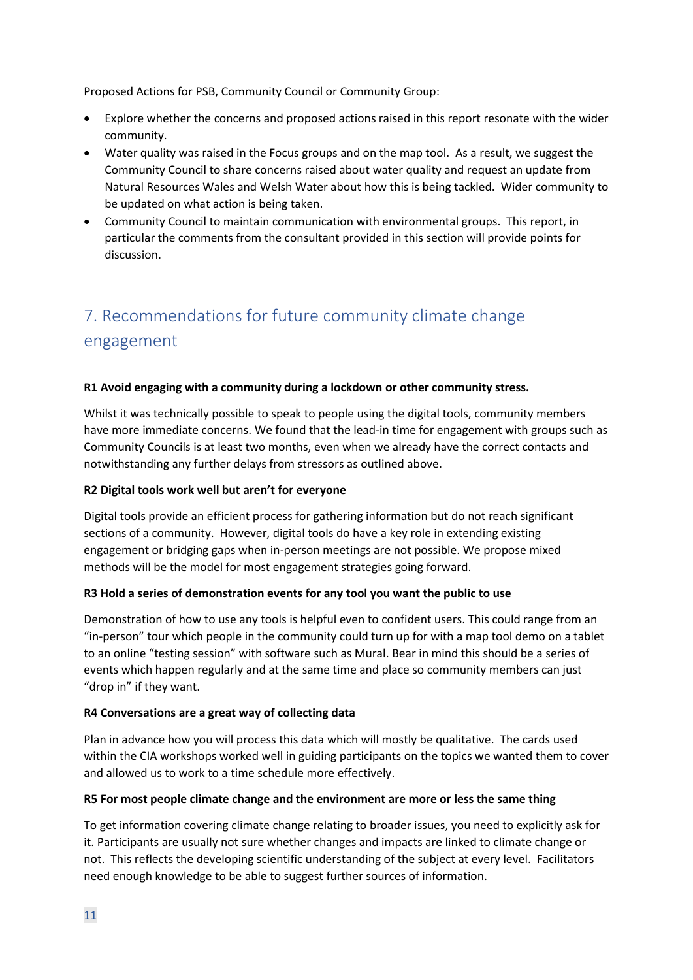Proposed Actions for PSB, Community Council or Community Group:

- Explore whether the concerns and proposed actions raised in this report resonate with the wider community.
- Water quality was raised in the Focus groups and on the map tool. As a result, we suggest the Community Council to share concerns raised about water quality and request an update from Natural Resources Wales and Welsh Water about how this is being tackled. Wider community to be updated on what action is being taken.
- Community Council to maintain communication with environmental groups. This report, in particular the comments from the consultant provided in this section will provide points for discussion.

## <span id="page-11-0"></span>7. Recommendations for future community climate change engagement

#### **R1 Avoid engaging with a community during a lockdown or other community stress.**

Whilst it was technically possible to speak to people using the digital tools, community members have more immediate concerns. We found that the lead-in time for engagement with groups such as Community Councils is at least two months, even when we already have the correct contacts and notwithstanding any further delays from stressors as outlined above.

#### **R2 Digital tools work well but aren't for everyone**

Digital tools provide an efficient process for gathering information but do not reach significant sections of a community. However, digital tools do have a key role in extending existing engagement or bridging gaps when in-person meetings are not possible. We propose mixed methods will be the model for most engagement strategies going forward.

#### **R3 Hold a series of demonstration events for any tool you want the public to use**

Demonstration of how to use any tools is helpful even to confident users. This could range from an "in-person" tour which people in the community could turn up for with a map tool demo on a tablet to an online "testing session" with software such as Mural. Bear in mind this should be a series of events which happen regularly and at the same time and place so community members can just "drop in" if they want.

#### **R4 Conversations are a great way of collecting data**

Plan in advance how you will process this data which will mostly be qualitative. The cards used within the CIA workshops worked well in guiding participants on the topics we wanted them to cover and allowed us to work to a time schedule more effectively.

#### **R5 For most people climate change and the environment are more or less the same thing**

To get information covering climate change relating to broader issues, you need to explicitly ask for it. Participants are usually not sure whether changes and impacts are linked to climate change or not. This reflects the developing scientific understanding of the subject at every level. Facilitators need enough knowledge to be able to suggest further sources of information.